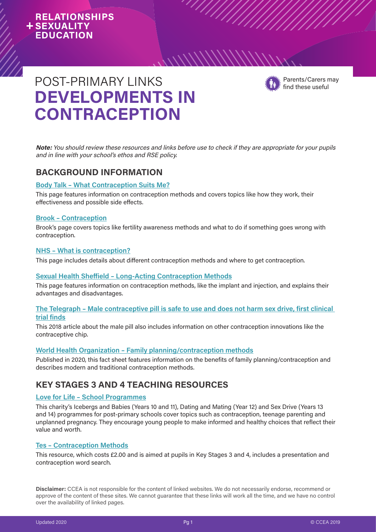## **RELATIONSHIPS +SEXUALITY EDUCATION**



find these useful

# **DEVELOPMENTS IN CONTRACEPTION**  POST-PRIMARY LINKS For the state of the state of the POST-PRIMARY LINKS

**Note:** You should review these resources and links before use to check if they are appropriate for your pupils and in line with your school's ethos and RSE policy.

 $\frac{1}{\sqrt{2}}$ 

 $\frac{1}{1}$ 

## **BACKGROUND INFORMATION**

## **[Body Talk – What Contraception Suits Me?](https://bodytalk.org.au/what-contraception-suits-me/)**

This page features information on contraception methods and covers topics like how they work, their effectiveness and possible side effects.

### **[Brook – Contraception](https://www.brook.org.uk/your-life/category/contraception)**

Brook's page covers topics like fertility awareness methods and what to do if something goes wrong with contraception.

### **[NHS – What is contraception?](https://www.nhs.uk/conditions/contraception/what-is-contraception/)**

This page includes details about different contraception methods and where to get contraception.

### **[Sexual Health Sheffield – Long-Acting Contraception Methods](http://www.sexualhealthsheffield.nhs.uk/info-and-advice/contraception/long-acting-contraception-methods/)**

This page features information on contraception methods, like the implant and injection, and explains their advantages and disadvantages.

## **[The Telegraph – Male contraceptive pill is safe to use and does not harm sex drive, first clinical](https://www.telegraph.co.uk/news/2018/03/18/male-contraceptive-pill-safe-use-does-not-harm-sex-drive-first/)  [trial finds](https://www.telegraph.co.uk/news/2018/03/18/male-contraceptive-pill-safe-use-does-not-harm-sex-drive-first/)**

This 2018 article about the male pill also includes information on other contraception innovations like the contraceptive chip.

## **[World Health Organization –](https://www.who.int/news-room/fact-sheets/detail/family-planning-contraception) Family planning/contraception methods**

Published in 2020, this fact sheet features information on the benefits of family planning/contraception and describes modern and traditional contraception methods.

## **KEY STAGES 3 AND 4 TEACHING RESOURCES**

## **[Love for Life – School Programmes](http://www.loveforlife.org.uk/wp-content/uploads/2019/07/Schools-Programmev2_web.pdf)**

This charity's Icebergs and Babies (Years 10 and 11), Dating and Mating (Year 12) and Sex Drive (Years 13 and 14) programmes for post-primary schools cover topics such as contraception, teenage parenting and unplanned pregnancy. They encourage young people to make informed and healthy choices that reflect their value and worth.

## **[Tes – Contraception Methods](https://www.tes.com/teaching-resource/contraception-methods-6034758)**

This resource, which costs £2.00 and is aimed at pupils in Key Stages 3 and 4, includes a presentation and contraception word search.

**Disclaimer:** CCEA is not responsible for the content of linked websites. We do not necessarily endorse, recommend or approve of the content of these sites. We cannot guarantee that these links will work all the time, and we have no control over the availability of linked pages.